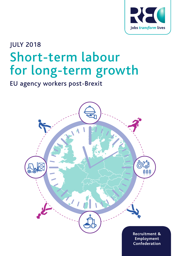

# JULY 2018 Short-term labour for long-term growth

EU agency workers post-Brexit

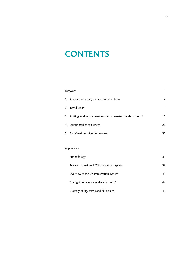### **CONTENTS**

| Foreword |                                                                 | 3  |
|----------|-----------------------------------------------------------------|----|
|          | 1. Research summary and recommendations                         | 4  |
|          | 2. Introduction                                                 | 9  |
|          | 3. Shifting working patterns and labour market trends in the UK | 11 |
|          | 4. Labour market challenges                                     | 22 |
|          | 5. Post-Brexit immigration system                               | 31 |
|          |                                                                 |    |

### Appendices

| Methodology                                | 38 |
|--------------------------------------------|----|
| Review of previous REC immigration reports | 39 |
| Overview of the UK immigration system      | 41 |
| The rights of agency workers in the UK     | 44 |
| Glossary of key terms and definitions      | 45 |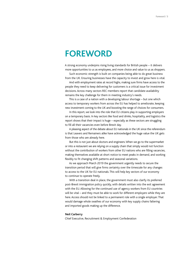### <span id="page-3-0"></span>**FOREWORD**

A strong economy underpins rising living standards for British people – it delivers more opportunities to us as employees, and more choice and value to us as shoppers.

Such economic strength is built on companies being able to do great business from the UK. Ensuring businesses have the capacity to invest and grow here is vital.

And with employment rates at record highs, making sure firms have access to the people they need to keep delivering for customers is a critical issue for investment decisions. Across many sectors REC members report that candidate availability remains the key challenge for them in meeting industry's needs.

This is a case of a nation with a developing labour shortage – but one which access to temporary workers from across the EU has helped to ameliorate, keeping new investment coming to the UK and boosting the range of choices for consumers.

In this report, we look into the role that EU citizens play in supporting employers on a temporary basis. In key sectors like food and drinks, hospitality, and logistics the report shows that their impact is huge – especially as these sectors are struggling to fill all their vacancies even before Brexit day.

A pleasing aspect of the debate about EU nationals in the UK since the referendum is that Leavers and Remainers alike have acknowledged the huge value the UK gets from those who are already here.

But this is not just about doctors and engineers. When we go to the supermarket or into a restaurant we are relying on a supply chain that simply would not function without the contribution of workers from other EU nations who are filling vacancies, making themselves available at short notice to meet peaks in demand, and working flexibly to fit changing shift patterns and seasonal variations.

As we approach March 2019 the government urgently needs to secure the transition period that will give firms certainty over the timescale for any changes to access to the UK for EU nationals. This will help key sectors of our economy to continue to operate freely.

With a transition deal in place, the government must also clarify its preferred post-Brexit immigration policy quickly, with details written into the exit agreement with the EU. Allowing for the continued use of agency workers from EU countries will be vital – and they must be able to work for different employers while they are here. Access should not be linked to a permanent role with a single employer. That would damage whole swathes of our economy with key supply chains faltering and imported goods making up the difference.

#### **Neil Carberry**

Chief Executive, Recruitment & Employment Confederation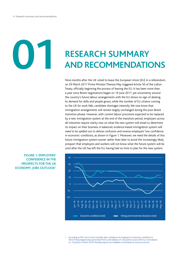**01**

### **RESEARCH SUMMARY AND RECOMMENDATIONS**

Nine months after the UK voted to leave the European Union (EU) in a referendum, on 29 March 2017 Prime Minister Theresa May triggered Article 50 of the Lisbon Treaty, officially beginning the process of leaving the EU. It has been more than a year since Brexit negotiations began on 19 June 2017, yet uncertainty around the country's future labour arrangements with the EU shows no sign of abating. As demand for skills and people grows, while the number of EU citizens coming to the UK for work falls, candidate shortages intensify. We now know that immigration arrangements will remain largely unchanged during the post-Brexit transition phrase. However, with current labour provisions expected to be replaced by a new immigration system at the end of the transition period, employers across all industries require clarity now on what the new system will entail to determine its impact on their business. A balanced, evidence-based immigration system will need to be spelled out to defuse confusion and reverse employers' low confidence in economic conditions, as shown in Figure 1. Moreover, we need the details of this future immigration system sooner rather than later to avoid the increasingly likely prospect that employers and workers will not know what the future system will be until after the UK has left the EU, having had no time to plan for the new system.



### **FIGURE 1: EMPLOYERS' CONFIDENCE IN THE PROSPECTS FOR THE UK ECONOMY, JOBS OUTLOOK1**

According to REC *JobsOutlook* monthly data, confidence of employers in economic conditions in the UK had progressively plummeted from a net balance of +26 points in June 2016 to a net balance of -10 points in March 2018. Monthly reports are available to download at: [www.rec.uk.com](http://www.rec.uk.com)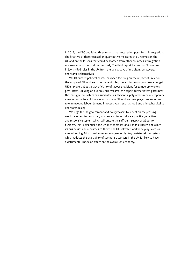In 2017, the REC published three reports that focused on post-Brexit immigration. The first two of these focused on quantitative measures of EU workers in the UK and on the lessons that could be learned from other countries' immigration systems around the world respectively. The third report focused on EU workers in low-skilled roles in the UK from the perspective of recruiters, employers, and workers themselves.

Whilst current political debate has been focusing on the impact of Brexit on the supply of EU workers in permanent roles, there is increasing concern amongst UK employers about a lack of clarity of labour provisions for temporary workers post-Brexit. Building on our previous research, this report further investigates how the immigration system can guarantee a sufficient supply of workers in temporary roles in key sectors of the economy where EU workers have played an important role in meeting labour demand in recent years, such as food and drinks, hospitality and warehousing.

We urge the UK government and policymakers to reflect on the pressing need for access to temporary workers and to introduce a practical, effective and responsive system which will ensure the sufficient supply of labour for business. This is essential if the UK is to meet its labour market needs and allow its businesses and industries to thrive. The UK's flexible workforce plays a crucial role in keeping British businesses running smoothly. Any post-transition system which reduces the availability of temporary workers in the UK is likely to have a detrimental knock-on effect on the overall UK economy.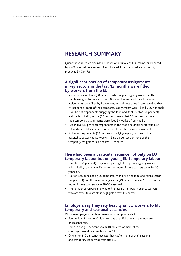### **RESEARCH SUMMARY**

Quantitative research findings are based on a survey of REC members produced by YouGov as well as a survey of employers/HR decision-makers in the UK, produced by ComRes.

### **A significant portion of temporary assignments in key sectors in the last 12 months were filled by workers from the EU:**

- Six in ten respondents (60 per cent) who supplied agency workers in the warehousing sector indicate that 50 per cent or more of their temporary assignments were filled by EU workers, with almost three in ten revealing that 75 per cent or more of their temporary assignments were filled by EU nationals.
- Over half of respondents supplying the food and drinks sector (56 per cent) and the hospitality sector (52 per cent) reveal that 50 per cent or more of their temporary assignments were filled by workers from the EU.
- Two in five (39 per cent) respondents in the food and drinks sector supplied EU workers to fill 75 per cent or more of their temporary assignments.
- A third of respondents (33 per cent) supplying agency workers in the hospitality sector had EU workers filling 75 per cent or more of their temporary assignments in the last 12 months.

### **There had been a particular reliance not only on EU temporary labour but on young EU temporary labour:**

- Over half (55 per cent) of agencies placing EU temporary agency workers in hospitality roles claim 50 per cent or more of these workers were 18–30 years old.
- Half of recruiters placing EU temporary workers in the food and drinks sector (52 per cent) and the warehousing sector (49 per cent) reveal 50 per cent or more of these workers were 18–30 years old.
- The number of respondents who only place EU temporary agency workers who are over 30 years old is negligible across key sectors.

### **Employers say they rely heavily on EU workers to fill temporary and seasonal vacancies:**

Of those employers that hired seasonal or temporary staff:

- Four in five (81 per cent) claim to have used EU labour in a temporary or seasonal role.
- Three in five (62 per cent) claim 10 per cent or more of their contingent workforce was from the EU.
- One in ten (10 per cent) revealed that half or more of their seasonal and temporary labour was from the EU.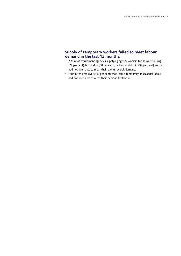### **Supply of temporary workers failed to meet labour demand in the last 12 months:**

- A third of recruitment agencies supplying agency workers to the warehousing (29 per cent), hospitality (38 per cent), or food and drinks (39 per cent) sector had not been able to meet their clients' overall demand.
- Four in ten employers (42 per cent) that recruit temporary or seasonal labour had not been able to meet their demand for labour.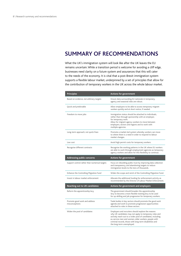### **SUMMARY OF RECOMMENDATIONS**

What the UK's immigration system will look like after the UK leaves the EU remains uncertain. While a transition period is welcome for avoiding a cliff edge, businesses need clarity on a future system and assurances that this will cater to the needs of the economy. It is vital that a post-Brexit immigration system supports a flexible labour market, underpinned by a set of principles that allow for the contribution of temporary workers in the UK across the whole labour market.

| <b>Principles</b>                               | Actions for government                                                                                                                                                                                                                                         |
|-------------------------------------------------|----------------------------------------------------------------------------------------------------------------------------------------------------------------------------------------------------------------------------------------------------------------|
| Based on evidence, not arbitrary targets        | Ensure data surrounding EU nationals in temporary,<br>agency and seasonal roles are robust.                                                                                                                                                                    |
| Quick and predictable                           | Allow employers to be able to access temporary migrant<br>workers quickly and at short notice, if needed.                                                                                                                                                      |
| Freedom to move jobs                            | Immigration status should be attached to individuals,<br>rather than through sponsorship with an employer,<br>for temporary work.<br>Allow for migrant agency workers to move between<br>employers, sectors and regions and to work with<br>multiple agencies. |
| Long-term approach, not quick-fixes             | Promote a market-led system whereby workers can move<br>to where there is a need in order to respond to labour<br>market changes.                                                                                                                              |
| Low cost                                        | Avoid high permit costs for temporary workers.                                                                                                                                                                                                                 |
| Recognise different contracts                   | Recognise the working patterns in the UK where EU workers<br>are able to work through employment agencies as temporary<br>agency workers and allow for this flexibility to continue.                                                                           |
| Addressing public concerns                      | Actions for government                                                                                                                                                                                                                                         |
| Support control rather than numerical targets   | Focus on rebuilding public trust by improving data collection<br>and transparency, and abandoning targets to reduce<br>immigration levels to the tens of thousands.                                                                                            |
| Enhance the Controlling Migration Fund          | Widen the scope and remit of the Controlling Migration Fund.                                                                                                                                                                                                   |
| Invest in labour market enforcement             | Allocate the additional funding for enforcement activity as<br>recommended by the Director of Labour Market Enforcement.                                                                                                                                       |
| Reaching out to UK candidates                   | Actions for government and employers                                                                                                                                                                                                                           |
| Reform the apprenticeship levy                  | The government should broaden the apprenticeship<br>levy to become a more flexible training levy to be used<br>for up-skilling and job progression for temporary workers.                                                                                      |
| Promote good work and address<br>misconceptions | Trade bodies in key sectors should promote the good work<br>agenda and work to promote progression opportunities<br>attached to roles in these sectors.                                                                                                        |
|                                                 |                                                                                                                                                                                                                                                                |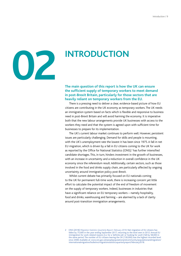

### **INTRODUCTION**

**The main question of this report is how the UK can ensure the sufficient supply of temporary workers to meet demand in post-Brexit Britain, particularly for those sectors that are heavily reliant on temporary workers from the EU.**

There is a pressing need to deliver a clear, evidence-based picture of how EU citizens are contributing in the UK economy as temporary workers. The UK needs an immigration system based on facts which is flexible and responsive to business need in post-Brexit Britain and will avoid harming the economy. It is imperative both that the new labour arrangements provide UK businesses with access to the workers they need and that the system is agreed upon with sufficient time for businesses to prepare for its implementation.

The UK's current labour market continues to perform well. However, persistent issues are particularly challenging. Demand for skills and people is mounting, with the UK's unemployment rate the lowest it has been since 1975. A fall in net EU migration, which is driven by a fall in EU citizens coming to the UK for work as reported by the Office for National Statistics (ONS),<sup>2</sup> has further intensified candidate shortages. This, in turn, hinders investment in the growth of businesses, with an increase in uncertainty and a reduction in overall confidence in the UK economy since the referendum result. Additionally, certain sectors, such as those involved in the food and drinks supply chain, are particularly affected by ongoing uncertainty around immigration policy post-Brexit.

Whilst current debate has primarily focused on EU nationals coming to the UK for permanent full-time work, there is increasing concern yet little effort to calculate the potential impact of the end of freedom of movement on the supply of temporary workers. Indeed, businesses in industries that have a significant reliance on EU temporary workers – namely hospitality, food and drinks, warehousing and farming – are alarmed by a lack of clarity around post-transition immigration arrangements.

2 ONS (2018) *Migration Statistics Quarterly Report: February 2018*. Net migration of EU citizens has fallen by 75,000 in the year ending September 2017, returning to the level seen in 2012. Annual EU immigration for work-related reasons (i.e. for a 'definite job' or 'looking for work') fell by 58,000 in the same period. The number of EU citizens leaving the UK (130,000) was the highest recorded level since 2008. Available at: [www.ons.gov.uk/peoplepopulationandcommunity/populationandmigration/](https://www.ons.gov.uk/peoplepopulationandcommunity/populationandmigration/internationalmigration/bulletins/migrationstatisticsquarterlyreport/february2018) [internationalmigration/bulletins/migrationstatisticsquarterlyreport/february2018](https://www.ons.gov.uk/peoplepopulationandcommunity/populationandmigration/internationalmigration/bulletins/migrationstatisticsquarterlyreport/february2018).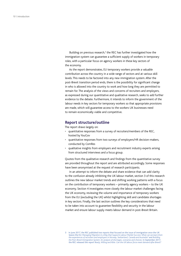Building on previous research,<sup>3</sup> the REC has further investigated how the immigration system can guarantee a sufficient supply of workers in temporary roles, with a particular focus on agency workers in these key sectors of the economy.

As the report demonstrates, EU temporary workers provide a valuable contribution across the country in a wide range of sectors and at various skill levels. This needs to be factored into any new immigration system. After the post-Brexit transition period ends, there is the possibility for significant change in who is allowed into the country to work and how long they are permitted to remain for. The analysis of the views and concerns of recruiters and employers, as expressed during our quantitative and qualitative research, seeks to add further evidence to the debate. Furthermore, it intends to inform the government of the labour needs in key sectors for temporary workers so that appropriate provisions are made, which will guarantee access to the workers UK businesses need to remain economically viable and competitive.

### **Report structure/outline**

The report draws largely on:

- quantitative responses from a survey of recruiters/members of the REC, hosted by YouGov
- quantitative responses from two surveys of employers/HR decision-makers, conducted by ComRes
- qualitative insights from employers and recruitment industry experts arising from structured interviews and a focus group.

Quotes from the qualitative research and findings from the quantitative survey are provided throughout the report and are attributed accordingly. Some responses have been anonymised at the request of research participants.

In an attempt to inform the debate and share evidence that can add clarity to the confusion already inhibiting the UK labour market, section 3 of this research outlines the new labour market trends and shifting working patterns with a focus on the contribution of temporary workers – primarily agency workers – to the UK economy. Section 4 investigates more closely the labour market challenges facing the UK economy, reviewing the volume and importance of temporary workers from the EU (excluding the UK) whilst highlighting skill and candidate shortages in key sectors. Finally, the last section outlines the key considerations that need to be taken into account to guarantee flexibility and security in the labour market and ensure labour supply meets labour demand in post-Brexit Britain.

<sup>3</sup> In June 2017, the REC published two reports that focused on the issue of immigration once the UK leaves the EU: *Managing Migration in aWay that Supports Labour Market Success: What can we learn from the experiences of recruiters and employers in Norway, Switzerland, Canada and Australia?* and *Building the Post-Brexit Immigration System: An analysis of shortages, scenarios and choices*. In September 2017, the REC released the report *Ready, Willing and Able: Can the UK labour force meet demand after Brexit?*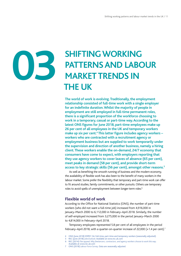# **03**

# **SHIFTING WORKING PATTERNS AND LABOUR MARKET TRENDS IN THE UK**

**The world of work is evolving. Traditionally, the employment relationship consisted of full-time work with a single employer for an indefinite duration. Whilst the majority of people in employment are still employed in full-time permanent roles, there is a significant proportion of the workforce choosing to work in a temporary, casual or part-time way. According to the latest ONS figures for June 2018, part-time employees make up 26 per cent of all employees in the UK and temporary workers make up six per cent.4 This latter figure includes agency workers – workers who are contracted with a recruitment agency or employment business but are supplied to work temporarily under the supervision and direction of another business, namely a hiring client. These workers enable the on-demand, 24/7 economy that consumers have come to expect, with employers reporting that they use agency workers to cover leaves of absence (65 per cent), meet peaks in demand (58 per cent), and provide short-term access to key strategic skills (56 per cent), amongst other reasons.5**

As well as benefiting the smooth running of business and the modern economy, the availability of flexible work has also been to the benefit of many workers in the labour market. Some prefer the flexibility that temporary and part-time work can offer to fit around studies, family commitments, or other pursuits. Others use temporary roles to avoid spells of unemployment between longer-term roles.<sup>6</sup>

### **Flexible world of work**

According to the Office for National Statistics (ONS), the number of part-time workers (who did not want a full-time job) increased from 4,916,000 in January–March 2000 to 6,112,000 in February–April 2018. Similarly, the number of self-employed increased from 3,275,000 in the period January–March 2000 to 4,814,000 in February–April 2018.

Temporary employees represented 5.8 per cent of all employees in the period February–April 2018, with a quarter-on-quarter increase of 22,000 (+1.4 per cent).<sup>7</sup>

- ONS (June 2018) EMP01 SA: Full-time, part-time and temporary workers (seasonally adjusted).
- 5 REC (June 2018) *JobsOutlook*.Available at [www.rec.uk.com](http://www.rec.uk.com)
- 6 REC (2014) *Flex appeal: Why freelancers, contractors, and agency workers choose to work this way*. Available at [www.rec.uk.com](http://www.rec.uk.com)
- 7 ONS (2018) *Labour Force Survey*. Data are seasonally adjusted.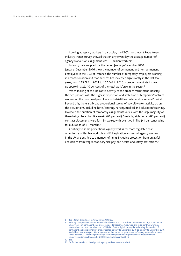Looking at agency workers in particular, the REC's most recent Recruitment Industry Trends survey showed that on any given day the average number of agency workers on assignment was 1.1 million workers.<sup>8</sup>

Industry data supplied for the period January–December 2010 to January–December 2016 show the number of permanent and non-permanent employees in the UK. For instance, the number of temporary employees working in accommodation and food services has increased significantly in the last few years, from 115,225 in 2011 to 162,042 in 2016. Non-permanent staff make up approximately 10 per cent of the total workforce in the sector.<sup>9</sup>

When looking at the indicative activity of the broader recruitment industry, the occupations with the highest proportion of distribution of temporary/contract workers on the combined payroll are industrial/blue collar and secretarial/clerical. Beyond this, there is a broad proportional spread of payroll worker activity across the occupations, including hotel/catering, nursing/medical and education/teaching. However, the duration of temporary assignments varies, with the large majority of these being placed for 12+ weeks (61 per cent). Similarly, eight in ten (80 per cent) contract placements were for 12+ weeks, with over two in five (44 per cent) being for a duration of 6+ months.10

Contrary to some perceptions, agency work is far more regulated than other forms of flexible work. UK and EU legislation ensures all agency workers in the UK are entitled to a number of rights including protection from unlawful deductions from wages, statutory sick pay, and health and safety protections.<sup>11</sup>

<sup>8</sup> REC (2017) *Recruitment Industry Trends 2016/17*.

Industry data provided are not seasonally adjusted and do not show the number of UK, EU and non-EU employees. Not permanent employees include temporary agency workers, fixed contract workers, seasonal workers and casual workers. ONS (2017) One digit industry data showing the number of permanent and not permanent employees for January to December 2010 to January to December 2016. Available at: [www.ons.gov.uk/employmentandlabourmarket/peopleinwork/employmentandemployee](http://www.ons.gov.uk/employmentandlabourmarket/peopleinwork/employmentandemployee) types/adhocs/007435onedigitindustrydatashowingthenumberofpermanentandnotpermanent employeesforjanuarytodecember2010tojanuarytodecember2016

<sup>10</sup> Ibid.

<sup>11</sup> For further details on the rights of agency workers, see Appendix 4.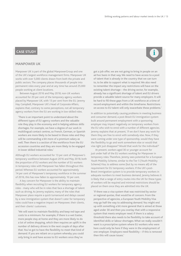**i**

### **CASE STUDY**

#### **MANPOWER UK**

Manpower UK is part of the global ManpowerGroup and one of the UK's largest workforce management firms. Manpower UK works with over 5,000 clients drawn from both the private and public sectors. The company places thousands of people into permanent roles every year and at any time has around 25,000 people working at client locations.

Between August 2016 and May 2018, non-UK workers accounted for 20 per cent of the temporary agency workers placed by Manpower UK, with 13 per cent from the EU. Jeremy Hay Campbell, Manpower UK's Head of Corporate Affairs, explains that, contrary to some perceptions, not all temporary agency workers from the EU are working in low-skilled roles.

'There is an important point to understand about the different types of EU agency workers and the valuable role they play in the economy and in helping address skills shortages. For example, we have a degree of our work in multilingual contact centres, so French, German, or Spanish workers are more likely to be based in those roles and they will be commanding a bit more of a premium salary as well. Then there is a section of the workforce from the EU accession countries and they are more likely to be engaged in lower skilled industrial roles.'

Although EU workers accounted for 13 per cent of Manpower's temporary workforce between August 2016 and May 2018, both the proportion of EU workers and the number of EU workers in temporary roles with Manpower has fallen throughout this period.Whereas EU workers accounted for approximately 14 per cent of Manpower's temporary workforce in the summer of 2016, this has now fallen to approximately 10 per cent.

A key concern for Manpower is the ability to maintain flexibility when recruiting EU workers for temporary agency roles - many who will be in roles that face a shortage of talent such as driving.As Jeremy explains, many of the roles that Manpower place require a quick turnaround and delays caused by a new immigration system that doesn't cater for temporary roles could have a negative impact on Manpower, their clients, and their clients' customers.

'We will want to maintain flexibility and keep red tape and costs to a minimum. For example, if there is a wet Easter, more people stay at home and they are more likely to do a lot of online shopping, which then requires an uplift in the number of delivery drivers in the next couple of days after that. You've got to have the flexibility to meet that kind of demand. If you are reliant on a system whereby you could only bring in and have access to EU workers once they've

got a job offer, we are not going to bring in people on an ad hoc basis in that way. We need to have access to a pool of talent that is already in the country that we can turn to, to be able to support what is required. We also need to remember the impact any restrictions will have on the existing talent shortage – the driving sector, for example, already has a significant shortage of talent and EU drivers provide a valuable talent source for many employers. It will be hard to fill these gaps from a UK workforce at a time of record employment and within the timeframe. Restrictions on access to EU talent will only exacerbate these problems.'

In addition to potentially causing problems in meeting business and consumer demand, a post-Brexit EU immigration system built around permanent employment with a sponsoring employer may impact negatively on temporary workers from the EU who wish to enrol with a number of different agencies. Jeremy explains that at present, 'if we don't have any work for them they are free to enrol with somebody else. Now, if they were coming under one type of sponsorship, would they have the flexibility to go and work somewhere else or would that visa right just disappear? Would that work for the individual?'

At present, workers aged 30 or younger account for just under half of the EU workers working for Manpower in temporary roles. Therefore, Jeremy sees potential for a European Youth Mobility Scheme, similar to the Tier 5 (Youth Mobility Scheme) Visa, to address some (but by no means all) of the requirement for EU temporary workers. If the UK's post-Brexit immigration system is to provide temporary workers in adequate numbers to meet business demand, Jeremy believes it is likely that a range of entry routes into the UK for these types of workers will be required and minimal restrictions should be placed on them once they are admitted into the UK.

'If there was a visa system that was restricted by sector or regional quotas, that would be of concern. From the perspective of agencies, a European Youth Mobility Visa may go half the way to addressing demand. You might end up with something a bit more general that is aimed at those aged under 30 and then you overlay that with a responsive system that meets employer need. If there is a salary threshold there also needs to be flexibility to take account of identified skills or labour shortages. What we really wouldn't want is a proscriptive system where EU workers who were here could only be here if they were in the employment of one employer. Employers need flexibility – if this is removed then this will cause issues.'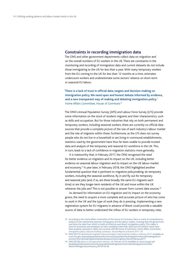### <span id="page-14-0"></span>**Constraints in recording immigration data**

The ONS and other government departments collect data on migration and on the overall numbers of EU workers in the UK. There are constraints in the monitoring and recording of immigration data and current datasets do not include those immigrating to the UK for less than a year. With many temporary workers from the EU coming to the UK for less than 12 months at a time, estimates undercount workers and underestimate some sectors' reliance on short-term or seasonal EU labour.

**'There is a lack of trust in official data, targets and decision-making on immigration policy. We need open and honest debate informed by evidence, and a new transparent way of making and debating immigration policy.'** Home Affairs Committee, House of Commons<sup>12</sup>

The ONS's Annual Population Survey (APS) and Labour Force Survey (LFS) provide some information on the stock of resident migrants and their characteristics, such as skills and occupation. But for those industries that rely on both permanent and temporary workers, including seasonal workers, there are currently no official data sources that provide a complete picture of the size of each industry's labour market and the role of migrants within these. Furthermore, as the LFS does not survey people who do not live in a household or are living in communal establishments, statistics used by the government have thus far been unable to provide trusted data and analysis of the temporary and seasonal EU workforce in the UK. This, in turn, leads to a lack of confidence in migration statistics more generally.

It is noteworthy that, in February 2017, the ONS recognised the need for better evidence on migration and its impact on the UK, including better evidence on seasonal labour migration and its impact on the UK labour market and economy.<sup>13</sup> A year later, in February 2018, the ONS highlighted another fundamental question that is pertinent to migration policymaking: do temporary workers, including the seasonal workforce, fly in and fly out for temporary and seasonal jobs (and, if so, are these broadly the same EU migrants each time) or are they longer-term residents of the UK and move within the UK wherever the jobs are? This is not possible to answer from current data sources.<sup>14</sup>

As demand for information on EU migration and its impact on the economy grows, the need to acquire a more complete and accurate picture of who has come to work in the UK and the type of work they do is pressing. Implementing a new registration system for EU migrants in advance of Brexit could provide a valuable source of data to better understand the inflow of EU workers in temporary roles.

<sup>12</sup> According to the Home Affairs Committee of the House of Commons, there is a lack of comprehensive analysis of the relationship between immigration and the labour market, meaning that the government now lacks the data from which to build an effective post-Brexit immigration policy. This makes it hard for businesses and employers to have confidence that their skills and recruitment needs have been properly assessed or taken into account. (2018) House of Commons, Home Affairs Committee. *Immigration policy: basis for building consensus. Second Report of Session 2017–19*.

<sup>13</sup> ONS (2017) *International migration data and analysis: Improving the evidence, February 2017*.Available at: [www.ons.gov.uk/peoplepopulationandcommunity/populationandmigration/internationalmigration/](http://www.ons.gov.uk/peoplepopulationandcommunity/populationandmigration/internationalmigration/articles/internationalmigrationdataandanalysisimprovingtheevidence/february2017) [articles/internationalmigrationdataandanalysisimprovingtheevidence/february2017](http://www.ons.gov.uk/peoplepopulationandcommunity/populationandmigration/internationalmigration/articles/internationalmigrationdataandanalysisimprovingtheevidence/february2017)

<sup>14</sup> ONS (2018) *Labour in the agriculture industry, UK: February 2018*.Available at: [www.ons.gov.uk/](http://www.ons.gov.uk/peoplepopulationandcommunity/populationandmigration/internationalmigration/articles/labourintheagricultureindustry/2018) [peoplepopulationandcommunity/populationandmigration/internationalmigration/articles/](http://www.ons.gov.uk/peoplepopulationandcommunity/populationandmigration/internationalmigration/articles/labourintheagricultureindustry/2018) [labourintheagricultureindustry/2018-](http://www.ons.gov.uk/peoplepopulationandcommunity/populationandmigration/internationalmigration/articles/labourintheagricultureindustry/2018)02-06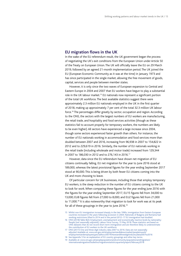### **EU migration flows in the UK**

In the wake of the EU referendum result, the UK government began the process of negotiating the UK's exit conditions from the European Union under Article 50 of the Treaty on European Union. The UK will officially leave the EU on 29 March 2019, followed by an agreed 21-month implementation period. The UK joined the EU (European Economic Community as it was at the time) in January 1973 and has since participated in the single market, allowing the free movement of goods, capital, services and people between member states.

However, it is only since the two waves of European expansion to Central and Eastern Europe in 2004 and 2007 that EU workers have begun to play a substantial role in the UK labour market.<sup>15</sup> EU nationals now represent a significant portion of the total UK workforce. The best available statistics suggest there were approximately 2.3 million EU nationals employed in the UK in the first quarter of 2018, making up approximately 7 per cent of the total 32.3 million UK labour force.16 The percentages differ greatly by sector, occupation and region. According to the ONS, the sectors with the largest numbers of EU workers are manufacturing, the retail trade, and hospitality and food services activities (though as these statistics fail to account properly for temporary workers, the numbers are likely to be even higher). All sectors have experienced a large increase since 2004, though some sectors experienced faster growth than others. For instance, the number of EU nationals working in accommodation and food services more than doubled between 2007 and 2016, increasing from 96,938 in 2007 to 154,822 in 2012 and to 229,619 in 2016. Similarly, the number of EU nationals working in the retail trade (including wholesale and motor trade) increased from 129,344 in 2007 to 186,030 in 2012 and to 276,143 in 2016.<sup>17</sup>

However, data since the EU referendum have shown net migration of EU citizens continually falling. EU net migration for the year to June 2016 stood at 189,000, whereas the latest provisional figures for the year ending September 2017 stood at 90,000. This is being driven by both fewer EU citizens coming into the UK and more choosing to leave.

Of particular concern for UK businesses, including those that employ temporary EU workers, is the steep reduction in the number of EU citizens coming to the UK to look for work. When comparing these figures for the year ending June 2016 with the figures for the year ending September 2017, EU15 figures fell from 34,000 to 13,000; EU8 figures fell from 27,000 to 8,000; and EU2 figures fell from 21,000 to 11,000.<sup>18</sup> It is also noteworthy that migration to look for work was at its peak for all of these groupings in the year to June 2016.<sup>19</sup>

- 15 Whilst non-EU immigration increased sharply in the late 1990s, immigration from Eastern European countries increased in the years following accession in 2004. Nationals of Bulgaria and Romania had working restrictions lifted in 2014 and in the period 2012–17 EU immigration had doubled.
- 16 ONS (2018) Table 8(2): Employment, unemployment and economically inactive levels by nationality: People (not seasonally adjusted). Labour Force Survey, 15 May 2018. These statistics are based on ONS datasets that do not record short-term immigration and are therefore likely to underestimate the contribution of EU workers to the UK workforce.
- 17 ONS (2017) One and three digit industry data 2007 to 2016. Data are not seasonally adjusted.Available at: [www.ons.gov.uk/employmentandlabourmarket/peopleinwork/](http://www.ons.gov.uk/employmentandlabourmarket/peopleinwork/employmentandemployeetypes/adhocs/007454oneandthreedigitindustrydata2007to2016) [employmentandemployeetypes/adhocs/007454oneandthreedigitindustrydata2007to2016](http://www.ons.gov.uk/employmentandlabourmarket/peopleinwork/employmentandemployeetypes/adhocs/007454oneandthreedigitindustrydata2007to2016)
- 18 See Appendix 5 for an explanation of EU country groupings and other key terms.
- 19 Available at: [www.ons.gov.uk/peoplepopulationandcommunity/populationandmigration/](http://www.ons.gov.uk/peoplepopulationandcommunity/populationandmigration/internationalmigration/bulletins/migrationstatisticsquarterlyreport/february2018) [internationalmigration/bulletins/migrationstatisticsquarterlyreport/february2018](http://www.ons.gov.uk/peoplepopulationandcommunity/populationandmigration/internationalmigration/bulletins/migrationstatisticsquarterlyreport/february2018)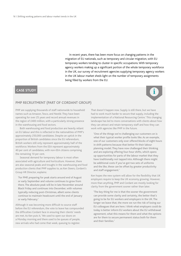In recent years, there has been more focus on changing patterns in the migration of EU nationals, such as temporary and circular migration, with EU temporary workers tending to cluster in specific occupations. With temporary agency workers making up a significant portion of the whole temporary workforce in the UK, our survey of recruitment agencies supplying temporary agency workers in the UK labour market sheds light on the number of temporary assignments being filled by workers from the EU.

### **CASE STUDY**

### **PMP RECRUITMENT (PART OF CORDANT GROUP)**

PMP are supplying thousands of staff nationwide to household names such as Amazon, Tesco, and Nestlé. They have been operating for over 25 years and record annual revenues in the region of £400 million, with a particularly strong presence in the warehousing and food sectors.

Both warehousing and food production are heavily reliant on EU labour and this is reflected in the nationalities of PMP's approximately 250,000 candidates. Despite an uptick in the proportion of British candidates since the EU referendum, British workers still only represent approximately half of the workforce.Workers from the EEA represent approximately 40 per cent of candidates, with non-EEA citizens comprising the remaining 10 per cent.

Seasonal demand for temporary labour is most often associated with agriculture and horticulture. However, there are also seasonal peaks and troughs in the warehousing and food production clients that PMP supplies to, as Ken Steers, Cordant's Group HR Director, explains:

**'**For PMP, preparing for peak starts around end of August or early September and volume continues to grow from there. The absolute peak will be in late November around Black Friday and continues into December, with volumes typically reducing post-Christmas, albeit some clients continue to maintain headcount until the end of January or early February.**'**

Although it was becoming more difficult to source staff before the EU referendum, the vote to leave has compounded the difficulties Cordant face in ensuring their clients' needs are met.As Ken puts it, 'We used to open our doors on a Monday morning and there used to be queues of people, new arrivals who had come that week, queuing to register.

That doesn't happen now. Supply is still there, but we have had to work much harder to secure that supply, including the implementation of a National Resourcing Centre.' This changing landscape has led to more conversations with clients about how they can attract and retain temporary staff and how they can work with agencies like PMP in the future.

**i**

**'**One of the things we're challenging our customers on is what their typical worker profile looks like. As an example, one of our customers only ever offered blocks of eight hours in shift patterns because that better fit their labour planning model. They have now challenged their thinking and are exploring offering four-hour shifts, which opens up opportunities for parts of the labour market that they have traditionally not tapped into. Although there might be additional costs if you've got two sets of uniforms and the like, these can be offset by greater productivity and staff engagement.**'**

Ken hopes the new system will allow for the flexibility that UK employers require to keep the UK economy growing. However, more than anything, PMP and Cordant are mostly looking for clarity from the government sooner rather than later.

**'**The key thing for me is that the sooner the government can provide some clarity and certainty, the better that's going to be for EU workers and employers in the UK. The longer we leave that, the more we run the risk of losing our EU colleagues that are here. I think what employers could do today is better inform EU workers about the EU withdrawal agreement, what this means for them and what the options are for them to secure permanent status both for them and their families.**'**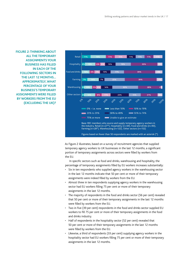**FIGURE 2: THINKING ABOUT ALL THE TEMPORARY ASSIGNMENTS YOUR BUSINESS HAS FILLED IN EACH OF THE FOLLOWING SECTORS IN THE LAST 12 MONTHS… APPROXIMATELY, WHAT PERCENTAGE OF YOUR BUSINESS'S TEMPORARY ASSIGNMENTS WERE FILLED BY WORKERS FROM THE EU (EXCLUDING THE UK)?**



As Figure 2 illustrates, based on a survey of recruitment agencies that supplied temporary agency workers to UK businesses in the last 12 months, a significant portion of temporary assignments across sectors were filled by workers from the EU.

In specific sectors such as food and drinks, warehousing and hospitality, the percentage of temporary assignments filled by EU workers increases substantially:

- Six in ten respondents who supplied agency workers in the warehousing sector in the last 12 months indicate that 50 per cent or more of their temporary assignments were indeed filled by workers from the EU.
- Almost three in ten respondents supplying agency workers in the warehousing sector had EU workers filling 75 per cent or more of their temporary assignments in the last 12 months.
- The majority of respondents in the food and drinks sector (56 per cent) revealed that 50 per cent or more of their temporary assignments in the last 12 months were filled by workers from the EU.
- Two in five (39 per cent) respondents in the food and drinks sector supplied EU workers to fill 75 per cent or more of their temporary assignments in the food and drinks industry.
- Half of respondents in the hospitality sector (52 per cent) revealed that 50 per cent or more of their temporary assignments in the last 12 months were filled by workers from the EU.
- Likewise, a third of respondents (33 per cent) supplying agency workers in the hospitality sector had EU workers filling 75 per cent or more of their temporary assignments in the last 12 months.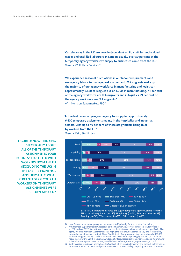**'Certain areas in the UK are heavily dependent on EU staff for both skilled trades and unskilled labourers. In London, usually over 50 per cent of the temporary agency workers we supply to businesses come from the EU.'** Graeme Wolf, Hexa Services<sup>20</sup>

**'We experience seasonal fluctuations in our labour requirements and use agency labour to manage peaks in demand. EEA migrants make up the majority of our agency workforce in manufacturing and logistics – approximately 2,880 colleagues out of 4,000. In manufacturing, 71 per cent of the agency workforce are EEA migrants and in logistics 79 per cent of the agency workforce are EEA migrants.'** Wm Morrison Supermarkets PLC<sup>21</sup>

**'In the last calendar year, our agency has supplied approximately 6,400 temporary assignments mainly in the hospitality and industrial sectors, with up to 40 per cent of these assignments being filled by workers from the EU.'** Graeme Reid, Stafffinders<sup>22</sup>



20 Hexa Services sources temporary and permanent staff primarily for the construction industry

21 Wm Morrison Supermarkets PLC response to the Migration Advisory Committee's call for evidence on EEA workers, 2017. Submitting evidence on the fluctuations of labour requirements, specifically EEA agency workers, Morrison Supermarkets PLC highlights that around Valentine's Day and Mother's Day the production of bouquets at their FlowerWorld site in Derby increases from approximately 400,000 per week to approximately 1 million per week, with the workforce growing by around 1,000 additional heads to deliver this uplift in volumes. Available at: [https://assets.publishing.service.gov.uk/government/](https://assets.publishing.service.gov.uk/government/uploads/system/uploads/attachment_data/file/692558/Wm_Morrison_Supermarkets_PLC.pdf) [uploads/system/uploads/attachment\\_data/file/692558/Wm\\_Morrison\\_Supermarkets\\_PLC.pdf](https://assets.publishing.service.gov.uk/government/uploads/system/uploads/attachment_data/file/692558/Wm_Morrison_Supermarkets_PLC.pdf)

**FIGURE 3: NOW THINKING SPECIFICALLY ABOUT ALL OF THE TEMPORARY ASSIGNMENTS YOUR BUSINESS HAS FILLED WITH WORKERS FROM THE EU (EXCLUDING THE UK) IN THE LAST 12 MONTHS… APPROXIMATELY, WHAT PERCENTAGE OF YOUR EU WORKERS ON TEMPORARY ASSIGNMENTS WERE 18–30 YEARS OLD?**

> 22 Stafffinders is a recruitment agency based in Scotland, which supplies temporary and contract staff as well as permanent staff to both public and private businesses in sectors including hospitality, retail and construction.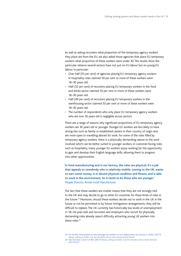As well as asking recruiters what proportion of the temporary agency workers they place are from the EU, we also asked those agencies that place EU temporary workers what proportion of these workers were under 30. The results show the particular reliance several sectors have not just on EU labour but on young EU labour in particular:

- Over half (55 per cent) of agencies placing EU temporary agency workers in hospitality roles claimed 50 per cent or more of these workers were 18–30 years old.
- Half (52 per cent) of recruiters placing EU temporary workers in the food and drinks sector claimed 50 per cent or more of these workers were 18–30 years old.
- Half (49 per cent) of recruiters placing EU temporary workers in the warehousing sector claimed 50 per cent or more of these workers were 18–30 years old.
- The number of respondents who only place EU temporary agency workers who are over 30 years old is negligible across sectors.

There are a range of reasons why significant proportions of EU temporary agency workers are 30 years old or younger. Younger EU workers are less likely to have strong ties such as family or established careers in their country of origin and are more open to travelling abroad for work. For some of the roles filled by temporary agency workers, there is a physically demanding nature to the work involved which can be better suited to younger workers. In customer-facing roles such as hospitality, many younger EU workers enjoy working for the opportunity to gain and develop their English language skills, allowing them to progress into other opportunities.

**'In food manufacturing and in our factory, the roles are physical. It's a job that appeals to somebody who is relatively mobile, coming to the UK, wants to earn some money, is in decent physical condition and fitness, and is able to work in the environment. So it tends to be those who are younger.'** People Director, British Food Manufacturer

The fact that these workers are mobile means that they are not strongly tied to the UK and may decide to go to other EU countries for these kinds of roles in the future.<sup>23</sup> Moreover, should these workers decide not to work in the UK in the future or not be permitted to by future immigration arrangements, they will be difficult to replace. The UK currently has historically low levels of unemployment in 18–34-year-olds and recruiters and employers who recruit for physically demanding roles already report difficulty attracting young UK workers into these roles  $24$ 

- 23 For further information on this amongst EU workers in low-skilled roles, see Section 2 of REC (2017) *Ready, willing and able: Can the UK labour force meet demand after Brexit?*
- 24 See Sections 3 and 4 of REC (2017) *Ready, willing and able: Can the UK labour force meet demand after Brexit?*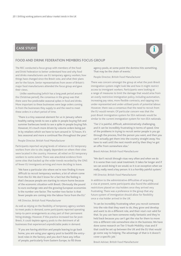### **CASE STUDY**



### **FOOD AND DRINK FEDERATION MEMBERS FOCUS GROUP**

The REC conducted a focus group with members of the Food and Drink Federation to better understand how and why food and drinks manufacturers use EU temporary agency workers, how things have changed since the Brexit vote, and what their plans are for the future. Senior representatives from seven of Britain's major food manufacturers attended the focus group and gave their views.

Unlike warehousing (which has a long peak period around the Christmas period), the consensus in the group was that there were few predictable seasonal spikes in food and drinks. More important to these businesses were large orders coming in from the businesses they supply to and the need to meet these orders in a short period of time.

**'**There is a tiny seasonal element for us in January where healthy eating tends to see a spike in people buying fish and summer barbecues tends to see a spike in people buying fish. However, it's much more driven by volume orders being put in by retailers which we have to turn around in 12 hours. It's less seasonal and more a continual flex throughout the year.**'**

People Director, British Food Manufacturer

Participants reported varying levels of reliance on EU temporary workers from site to site, largely dependent on where their sites were located in the country. However, all relied on EU temporary workers to some extent. There was anecdotal evidence from some sites that backed up the wider trends recorded by the ONS of fewer EU immigrants arriving and more deciding to leave.

**'**We have a particular site where we're now finding it more difficult to recruit temporary workers, a lot of whom come from the EU. We don't know for a fact but the feeling is that's because people are starting to return home because of the economic situation with Brexit. Obviously the pound to euro exchange rate and the growing European economies is the number one factor. The number two factor is that fewer people are coming into the labour force from the EU.**'**

#### HR Director, British Food Manufacturer

As well as relying on the flexibility of temporary agency workers to meet peaks in demand, some participants reported operating temp-to-perm arrangements as a key part of their permanent hiring strategy. However, if this practice increased too far post-Brexit, it could deplete agency pools to the detriment of all businesses that experienced unpredictable peaks in demand.

**'**If you are having attrition and people leaving to go back home, you are using your agency pool to backfill the entrylevel roles in the factory, and you don't have any influx of people, particularly from Eastern Europe, to fill those

agency pools, at some point the domino hits something. That may be the chain of events.**'**

People Director, British Food Manufacturer

There was concern amongst the group at what the post-Brexit immigration system might look like and how it might restrict access to immigrant workers. Participants were looking at a range of measures to limit the damage that would arise from an overly restrictive immigration policy, including automation, increasing pay rates, more flexible contracts, and tapping into under-represented and under-utilised pools of potential labour. However, there was a consensus that the need to recruit from the EU would remain. Of particular concern was that the post-Brexit immigration system for EEA nationals would be similar to the current immigration system for non-EEA nationals.

**'**Tier 2 is painful, difficult, administratively challenging, and it can be incredibly frustrating in terms of speed. One of the problems in trying to recruit senior people is you go through the process, find the person you want, and then you can't actually get them into the country straight away. You have to wait until the next month and by then they've got an offer from somewhere else.**'**

Brexit Adviser, British Food Manufacturer

**'**We don't recruit through visas very often and when we do it is worse than root canal treatment. It takes far longer and if we can avoid doing it we would, so it is an exception when we really, really need a key person. It is a horribly painful system.**'**

HR Director, British Food Manufacturer

In addition to the administrative difficulties of acquiring a visa at present, some participants also found the additional restrictions placed on visa holders once they arrived very frustrating. There was a preference in the group that any future system of immigration should allow for flexibility once a visa holder arrived in the UK.

**'**It can be incredibly frustrating when you recruit someone into the role that they want to do, they grow and develop and want to do a different role, and their visa's not valid for that. So you can have someone really fantastic and they're held back because you can't get the visa for them to move into a different role somewhere else in the business. We have done some research on Tier 5 Youth Mobility visas and if that could be set up between the UK and the EU that would go some way to helping. The advantage of that is it doesn't cover a specific job.**'**

Brexit Adviser, British Food Manufacturer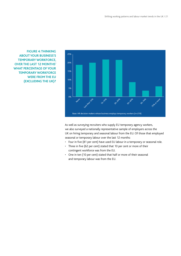**FIGURE 4: THINKING ABOUT YOUR BUSINESS'S TEMPORARY WORKFORCE, OVER THE LAST 12 MONTHS' WHAT PERCENTAGE OF YOUR TEMPORARY WORKFORCE WERE FROM THE EU (EXCLUDING THE UK)?**



As well as surveying recruiters who supply EU temporary agency workers, we also surveyed a nationally representative sample of employers across the UK on hiring temporary and seasonal labour from the EU. Of those that employed seasonal or temporary labour over the last 12 months:

- Four in five (81 per cent) have used EU labour in a temporary or seasonal role.
- Three in five (62 per cent) stated that 10 per cent or more of their contingent workforce was from the EU.
- One in ten (10 per cent) stated that half or more of their seasonal and temporary labour was from the EU.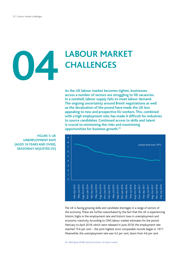# **LABOUR MARKET CHALLENGES 04**

**As the UK labour market becomes tighter, businesses across a number of sectors are struggling to fill vacancies. In a nutshell, labour supply fails to meet labour demand. The ongoing uncertainty around Brexit negotiations as well as the devaluation of the pound have made the UK less appealing to new and prospective EU workers. This, combined with a high employment rate, has made it difficult for industries to source candidates. Continued access to skills and talent is crucial to minimising the risks and maximising opportunities for business growth.25**



The UK is facing growing skills and candidate shortages in a range of sectors of the economy. These are further exacerbated by the fact that the UK is experiencing historic highs in the employment rate and historic lows in unemployment and economic inactivity. According to ONS labour market estimates for the period February to April 2018, which were released in June 2018, the employment rate reached 75.6 per cent – the joint highest since comparable records began in 1971. Meanwhile, the unemployment rate was 4.2 per cent, down from 4.6 per cent

**FIGURE 5: UK UNEMPLOYMENT RATE (AGED 16 YEARS AND OVER), SEASONALY ADJUSTED (%)**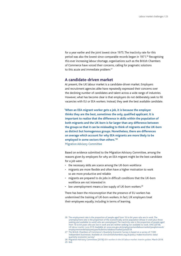for a year earlier and the joint lowest since 1975. The inactivity rate for this period was also the lowest since comparable records began in 1971.<sup>26</sup> Recognising this ever increasing labour shortage, organisations such as the British Chambers of Commerce have voiced their concerns, calling for pragmatic solutions to this acute and immediate problem.<sup>27</sup>

### **A candidate-driven market**

At present, the UK labour market is a candidate-driven market. Employers and recruitment agencies alike have repeatedly expressed their concerns over the declining number of candidates and talent across a wide range of industries. However, what has become clear is that employers do not deliberately seek to fill vacancies with EU or EEA workers. Instead, they seek the best available candidate.

**'When an EEA migrant worker gets a job, it is because the employer thinks they are the best, sometimes the only, qualified applicant. It is important to realise that the difference in skills within the population of both migrants and the UK-born is far larger than any difference between the groups so that it can be misleading to think of migrants and the UK-born as distinct but homogenous groups. Nonetheless, there are differences on average which account for why EEA migrants are more likely to be employed in some sectors than others.'28** Migration Advisory Committee

Based on evidence submitted to the Migration Advisory Committee, among the reasons given by employers for why an EEA migrant might be the best candidate for a job were:

- the necessary skills are scarce among the UK-born workforce
- migrants are more flexible and often have a higher motivation to work so are more productive and reliable
- migrants are prepared to do jobs in difficult conditions that the UK-born workforce are not interested in
- low unemployment means a low supply of UK-born workers.<sup>29</sup>

There has been the misconception that the presence of EU workers has undermined the training of UK-born workers. In fact, UK employers treat their employees equally, including in terms of learning.

<sup>26</sup> The employment rate is the proportion of people aged from 16 to 64 years who are in work. The unemployment rate is the proportion of the economically active population (those in work plus those seeking and available to work) who are unemployed. The inactivity rate is the proportion of people aged from 16 to 64 years who are not in work and are neither seeking nor available to work. ONS (2018). *UK labour market: June 2018*.Available at: [www.ons.gov.uk/employmentandlabourmarket/peopleinwork/](http://www.ons.gov.uk/employmentandlabourmarket/peopleinwork/employmentandemployeetypes/bulletins/uklabourmarket/june2018) [employmentandemployeetypes/bulletins/uklabourmarket/june2018](http://www.ons.gov.uk/employmentandlabourmarket/peopleinwork/employmentandemployeetypes/bulletins/uklabourmarket/june2018)

<sup>27</sup> The British Chambers of Commerce's Quarterly Economic Survey is based on a survey of 7,500 independent businesses.Available at: [www.britishchambers.org.uk/policy-maker/economic-data/](http://www.britishchambers.org.uk/policy-maker/economic-data/quarterly-economic-survey/) [quarterly-economic-survey/](http://www.britishchambers.org.uk/policy-maker/economic-data/quarterly-economic-survey/)

<sup>28</sup> Migration Advisory Committee (2018) *EEA-workers in the UK labour market: Interim update*. March 2018. 29 Ibid.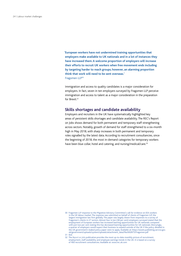**'European workers have not undermined training opportunities that employers make available to UK nationals and in a lot of instances they have increased them. A welcome proportion of employers will increase their efforts to recruit UK workers when free movement ends including by targeting harder to reach groups; however, an alarming proportion think that work will need to be sent overseas.'** Fragomen LLP<sup>30</sup>

Immigration and access to quality candidates is a major consideration for employers. In fact, seven in ten employers surveyed by Fragomen LLP perceive immigration and access to talent as a major consideration in the preparation for Brexit<sup>31</sup>

### **Skills shortages and candidate availability**

Employers and recruiters in the UK have systematically highlighted key areas of persistent skills shortages and candidate availability. The REC's Report on Jobs shows demand for both permanent and temporary staff strengthening across sectors. Notably, growth of demand for staff strengthened to a six-month high in May 2018, with sharp increases in both permanent and temporary roles signalled by the latest data. According to recruitment consultancies, since the beginning of 2018, the most in-demand categories for temporary workers have been blue collar, hotel and catering, and nursing/medical/care.<sup>32</sup>

<sup>30</sup> Fragomen LLP response to the Migration Advisory Committee's call for evidence on EEA workers in the UK labour market. The response was submitted on behalf of clients of Fragomen LLP, the largest immigration law firm globally. The paper was largely drawn from responses to a survey of Fragomen's clients in 27 sectors.Almost four in ten (38 per cent) employers surveyed stated that the employment of European workers has increased learning opportunities for UK nationals compared with just two per cent stating this has decreased learning opportunities for UK nationals.Worryingly, a quarter of employers would expect their business to expand outside of the UK if the policy detailed in the UK government's leaked policy paper were to apply.Available at: [https://assets.publishing.service.gov.](https://assets.publishing.service.gov.uk/government/uploads/system/uploads/attachment_data/file/692875/Fragomen.pdf) [uk/government/uploads/system/uploads/attachment\\_data/file/692875/Fragomen.pdf](https://assets.publishing.service.gov.uk/government/uploads/system/uploads/attachment_data/file/692875/Fragomen.pdf)

<sup>31</sup> Ibid.

<sup>32</sup> The *Report on Jobs* publication provides the most up-to-date monthly picture of recruitment, employment, staff availability and employee earnings trends in the UK. It is based on a survey of 400 recruitment consultancies.Available at: [www.rec.uk.com](http://www.rec.uk.com)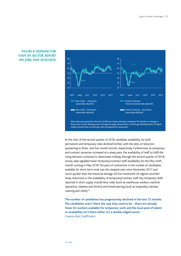### **FIGURE 6: DEMAND FOR STAFF BY SECTOR, REPORT ON JOBS, MAY 2018 DATA**



At the start of the second quarter of 2018, candidate availability for both permanent and temporary roles declined further, with the rates of reduction quickening to three- and five-month records, respectively. Furthermore, as temporary and contract vacancies increased at a steep pace, the availability of staff to fulfil the rising demand continued to deteriorate midway through the second quarter of 2018. Survey data signalled lower temporary/contract staff availability for the fifty-ninth month running in May 2018. The pace of contraction in the number of candidates available for short-term work was the steepest seen since November 2017 and much quicker than the historical average. All five monitored UK regions recorded steep reductions in the availability of temporary/contract staff. Key temporary skills reported in short supply include blue collar (such as warehouse workers, machine operatives, cleaners and drivers) and hotel/catering (such as hospitality, baristas, catering and chefs).<sup>33</sup>

**'The number of candidates has progressively declined in the last 12 months. The candidates aren't there the way they used to be – there are already fewer EU workers available for temporary work and the local pool of talent or availability isn't there either. It's a double-edged sword.'** Graeme Reid, Stafffinders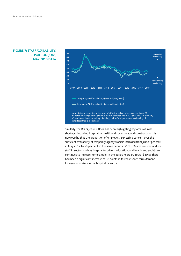### **FIGURE 7: STAFF AVAILABILITY, REPORT ON JOBS, MAY 2018 DATA**



Similarly, the REC's Jobs Outlook has been highlighting key areas of skills shortages including hospitality, health and social care, and construction. It is noteworthy that the proportion of employers expressing concern over the sufficient availability of temporary agency workers increased from just 29 per cent in May 2017 to 59 per cent in the same period in 2018. Meanwhile, demand for staff in sectors such as hospitality, drivers, education, and health and social care continues to increase. For example, in the period February to April 2018, there had been a significant increase of 32 points in forecast short-term demand for agency workers in the hospitality sector.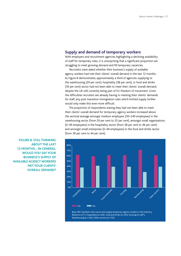### **Supply and demand of temporary workers**

With employers and recruitment agencies highlighting a declining availability of staff for temporary roles, it is unsurprising that a significant proportion are struggling to meet growing demand and fill temporary vacancies.

Recruiters were asked whether their business's supply of available agency workers had met their clients' overall demand in the last 12 months. As Figure 8 demonstrates, approximately a third of agencies supplying to the warehousing (29 per cent), hospitality (38 per cent), or food and drinks (39 per cent) sector had not been able to meet their clients' overall demand, despite the UK still currently being part of EU freedom of movement. Given the difficulties recruiters are already having in meeting their clients' demands for staff, any post-transition immigration rules which limited supply further would only make this even more difficult.

The proportion of respondents stating they had not been able to meet their clients' overall demand for temporary agency workers increased above the sectoral average amongst medium employers (50–249 employees) in the warehousing sector (from 29 per cent to 35 per cent), amongst small organisations (0–49 employees) in the hospitality sector (from 38 per cent to 46 per cent) and amongst small enterprises (0–49 employees) in the food and drinks sector (from 39 per cent to 44 per cent).



Retail (n=27\*), Hospitality (n=69), Food and drinks (n=90), Farming (n=28\*), Warehousing (n=122), Other sectors (n=152)

**FIGURE 8: STILL THINKING ABOUT THE LAST 12 MONTHS… IN GENERAL, WOULD YOU SAY YOUR BUSINESS'S SUPPLY OF AVAILABLE AGENCY WORKERS MET YOUR CLIENTS' OVERALL DEMAND?**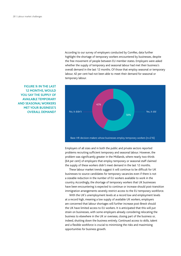According to our survey of employers conducted by ComRes, data further highlight the shortage of temporary workers encountered by businesses, despite the free movement of people between EU member states. Employers were asked whether the supply of temporary and seasonal labour had met their business's overall demand in the last 12 months. Of those that employ seasonal or temporary labour, 42 per cent had not been able to meet their demand for seasonal or temporary labour.



**FIGURE 9: IN THE LAST 12 MONTHS, WOULD YOU SAY THE SUPPLY OF AVAILABLE TEMPORARY AND SEASONAL WORKERS MET YOUR BUSINESS'S** 

> Employers of all sizes and in both the public and private sectors reported problems recruiting sufficient temporary and seasonal labour. However, the problem was significantly greater in the Midlands, where nearly two-thirds (64 per cent) of employers that employ temporary or seasonal staff claimed the supply of these workers didn't meet demand in the last 12 months.

These labour market trends suggest it will continue to be difficult for UK businesses to source candidates for temporary vacancies even if there is not a sizeable reduction in the number of EU workers available to work in the country. Accordingly, the shortage of temporary workers that UK businesses have been encountering is expected to continue or increase should post-transition immigration arrangements severely restrict access to the EU temporary workforce.

With the UK's unemployment levels at a record low and employment levels at a record high, meaning a low supply of available UK workers, employers are concerned that labour shortages will further increase post-Brexit should the UK have limited access to EU workers. It is anticipated that this will put strain on businesses, with some employers already considering relocating the business to elsewhere in the UK or overseas, closing part of the business or, indeed, shutting down the business entirely. Continued access to skills, talent and a flexible workforce is crucial to minimising the risks and maximising opportunities for business growth.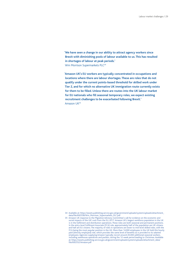**'We have seen a change in our ability to attract agency workers since Brexit with diminishing pools of labour available to us. This has resulted in shortages of labour at peak periods.'** Wm Morrison Supermarkets PLC<sup>34</sup>

**'Amazon UK's EU workers are typically concentrated in occupations and locations where there are labour shortages. These are roles that do not qualify under the current points-based threshold for skilled work under Tier 2, and for which no alternative UK immigration route currently exists for them to be filled. Unless there are routes into the UK labour market for EU nationals who fill seasonal temporary roles, we expect existing recruitment challenges to be exacerbated following Brexit.'** Amazon UK<sup>35</sup>

<sup>34</sup> Available at: [https://assets.publishing.service.gov.uk/government/uploads/system/uploads/attachment\\_](https://assets.publishing.service.gov.uk/government/uploads/system/uploads/attachment_data/file/692558/Wm_Morrison_Supermarkets_PLC.pdf) [data/file/692558/Wm\\_Morrison\\_Supermarkets\\_PLC.pdf](https://assets.publishing.service.gov.uk/government/uploads/system/uploads/attachment_data/file/692558/Wm_Morrison_Supermarkets_PLC.pdf)

<sup>35</sup> Amazon UK response to the Migration Advisory Committee's call for evidence on the economic and social impacts of the UK's exit from the EU, 2017. Amazon UK's largest workforce population in the UK is in the fulfilment and distribution operations. These roles are both seasonal and permanent positions. In the entry-level Fulfilment Associate (FCA) role, approximately half of the population are UK citizens and half are EU citizens. The majority of roles in operations are lower to mid-level skilled roles, with the FCA being the most popular position in the UK. More than 14,000 employees in the UK hold this hourly paid (directly employed) role, which provides the same level of benefits as is provided to its salaried employees.Agencies supplying Amazon typically recruit around 20,000 additional seasonal workers, including warehouse operatives and packers, during the 12-week period leading to Christmas. Available at: [https://assets.publishing.service.gov.uk/government/uploads/system/uploads/attachment\\_data/](https://assets.publishing.service.gov.uk/government/uploads/system/uploads/attachment_data/file/692552/Amazon.pdf) [file/692552/Amazon.pdf](https://assets.publishing.service.gov.uk/government/uploads/system/uploads/attachment_data/file/692552/Amazon.pdf)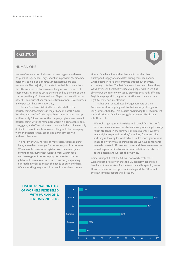### **CASE STUDY**

### **HUMAN ONE**

Human One are a hospitality recruitment agency with over 25 years of experience. They specialise in providing temporary personnel to high-end, central London hotels, bars, and restaurants. The majority of the staff on their books are from the EU2 countries of Romania and Bulgaria, with citizens of these countries making up 53 per cent and 12 per cent of their staff respectively. Of the remainder, 20 per cent are citizens of other EU countries, 9 per cent are citizens of non-EEA countries, and 6 per cent have UK nationality.

Human One have historically provided staff to the housekeeping departments in major London hotels.Amber Whalley, Human One's Managing Director, estimates that up until recently 85 per cent of the company's placements were in housekeeping, with the remainder working in restaurants, bars, spas, gyms, and offices. However, they are finding it increasingly difficult to recruit people who are willing to do housekeeping work and therefore they are seeing significant growth in these other areas.

**'**It's hard work. You're flipping mattresses, you're making beds, you're bent over, you're hoovering, and it is non-stop. When people come in to register now, the majority are coming to us saying they want to work within food and beverage, not housekeeping. As recruiters, it's our job to find them a role so we are constantly expanding our reach in order to match the needs of our candidates. We are working very much in a candidate-driven climate.**'**

Human One have found that demand for workers has outstripped supply of candidates during their peak period, which begins in April and continues throughout the year. According to Amber, 'The last few years have been like nothing we've ever seen before. If we had 200 people walk in we'd be able to put them into work today provided they had sufficient English language skills, a good work ethic and the necessary right-to-work documentation.'

**i**

This has been exacerbated by large numbers of their European workforce going back to their country of origin for long summer holidays. Yet, despite diversifying their recruitment methods, Human One have struggled to recruit UK citizens into these roles.

**'**We look at going to universities and school fairs. We don't have masses and masses of students, we probably get mostly Polish students, in the summer. British students now have much higher expectations, they're looking for internships and they're looking for work which is a lot more glamourous. That's the wrong way to think because we have consultants here who started off cleaning rooms and there are executive housekeepers or directors of accommodation who started at the bottom and worked their way up.**'**

Amber is hopeful that the UK will not overly restrict EU workers post-Brexit given that the UK economy depends so heavily on these workers for the tourism and hospitality sector. However, she also sees opportunities beyond the EU should the government support this direction.



### **FIGURE 10: NATIONALITY OF WORKERS REGISTERED WITH HUMAN ONE, FEBRUARY 2018 (%)**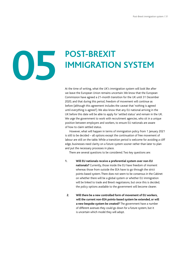# **05**

## **POST-BREXIT IMMIGRATION SYSTEM**

At the time of writing, what the UK's immigration system will look like after we leave the European Union remains uncertain. We know that the European Commission have agreed a 21-month transition for the UK until 31 December 2020, and that during this period, freedom of movement will continue as before (although this agreement includes the caveat that 'nothing is agreed until everything is agreed'). We also know that any EU national arriving in the UK before this date will be able to apply for 'settled status' and remain in the UK. We urge the government to work with recruitment agencies, who sit in a unique position between employers and workers, to ensure EU nationals are aware of how to claim settled status.

However, what will happen in terms of immigration policy from 1 January 2021 is still to be decided – all options except the continuation of free movement of labour are still on the table. While a transition period is welcome for avoiding a cliff edge, businesses need clarity on a future system sooner rather than later to plan and put the necessary processes in place.

There are several questions to be considered. Two key questions are:

- **1. Will EU nationals receive a preferential system over non-EU nationals?** Currently, those inside the EU have freedom of moment whereas those from outside the EEA have to go through the strict points-based system. There does not seem to be consensus in the Cabinet on whether there will be a global system or whether EU immigration will be linked to trade and Brexit negotiaions, but once this is decided, the policy options available to the government will become clearer.
- **2. Will there be a new controlled form of movement of EU workers, will the current non-EEA points-based system be extended, or will a new bespoke system be created?** The government have a number of different avenues they could go down for a future system, but it is uncertain which model they will adopt.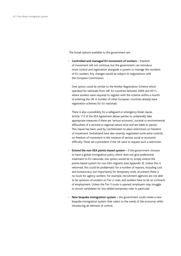<span id="page-32-0"></span>The broad options available to the government are:

• **Controlled and managed EU movement of workers –** freedom of movement will not continue, but the government can introduce more control and registration alongside a system to manage the numbers of EU workers. Any changes would be subject to negotiations with the European Commission.

One option could be similar to the Worker Registration Scheme which operated for nationals from 'A8' EU countries between 2004 and 2011, where workers were required to register with the scheme within a month of entering the UK. A number of other European countries already have registration schemes for EU nationals.

There is also a possibility for a safeguard or emergency break clause. Article 112 of the EEA Agreement allows parties to unilaterally take appropriate measures if there are 'serious economic, societal or environmental diffuculties of a sectoral or regional nature arise and are liable to persist'. This clause has been used by Liechtenstein to place restrictions on freedom of movement. Switzerland have also recently negotiated some extra controls on freedom of movement in the instance of serious social or economic difficulty. These set a precedent if the UK were to request such a restriction.

- **Extend the non-EEA points-based system** if the government chooses to have a global immigration policy which does not give preferential treatment to EU nationals, one option would be to simply extend the points-based system for non-EEA migrants (see Appendix 3). Unless this is reformed, this could be problematic for a number of reasons, including cost and bureaucracy, but importantly for temporary work, at present there is no route for agency workers. For example, recruitment agencies are not able to be sponsors of workers on Tier 2 visas, and workers have to be on contracts of employment. Unless the Tier 3 route is opened, employers may struggle to recruit candidates for low-skilled temporary roles in particular.
- **New bespoke immigration system** the government could create a new bespoke immigration system that caters to the needs of the economy while introducing an element of control.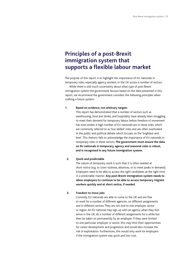### **Principles of a post-Brexit immigration system that supports a flexible labour market**

The purpose of this report is to highlight the importance of EU nationals in temporary roles, especially agency workers, in the UK across a number of sectors.

While there is still much uncertainty about what type of post-Brexit immigration system the government favours based on the data presented in this report, we recommend the government considers the following principles when crafting a future system:

#### **1. Based on evidence, not arbitrary targets**

This report has demonstrated that a number of sectors such as warehousing, food and drinks, and hospitality have already been struggling to meet their demand for temporary labour before freedom of movement has even ended. A high number of EU nationals are in these roles, which are commonly referred to as 'low-skilled' roles and are often overlooked in the public and political debate which focuses on the 'brightest and best'. This rhetoric fails to acknowledge the importance of EU nationals in temporary roles in these sectors. **The government must ensure the data on EU nationals in temporary, agency and seasonal roles is robust, and is recognised in any future immigration system.**

#### **2. Quick and predictable**

 The nature of temporary work is such that it is often needed at short notice (e.g. to cover sickness, absences, or to meet peaks in demand). Employers need to be able to access the right candidates at the right time in a predictable manner. **Any post-Brexit immigration system needs to allow employers to continue to be able to access temporary migrant workers quickly and at short notice, if needed.**

#### **3. Freedom to move jobs**

Currently, EU nationals are able to come to the UK and are free to work for a number of different agencies, on different assignments and in different sectors. They are not tied to one employer, sector or region. An EU national may sign up with an agency when they first arrive in the UK, do a number of different assignments for a while but then be taken on permanently by an employer. If they were limited to one particular employer or sector, this may limit their opportunities for career development and progression and would also increase the risk of exploitation. Furthermore, this would only work for employers if the immigration system was quick and low-cost.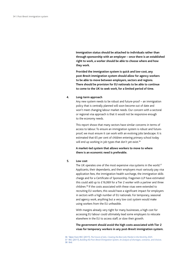**Immigration status should be attached to individuals rather than through sponsorship with an employer – once there is an established right to work, a worker should be able to choose where and how they work.**

**Provided the immigration system is quick and low-cost, any post-Brexit immigration system should allow for agency workers to be able to move between employers, sectors and regions. There should be provision for EU nationals to be able to continue to come to the UK to seek work, for a limited period of time.**

#### **4. Long-term approach**

Any new system needs to be robust and future-proof – an immigration policy that is centrally planned will soon become out of date and won't meet changing labour market needs. Our concern with a sectoral or regional visa approach is that it would not be responsive enough to the economy needs.

 This report shows that many sectors have similar concerns in terms of access to labour. To ensure an immigration system is robust and futureproof, we must ensure it can work with an evolving jobs landscape. It is estimated that 65 per cent of children entering primary school today will end up working in job types that don't yet exist.<sup>36</sup>

 **A market-led system that allows workers to move to where there is an economic need is preferable.**

#### **5. Low cost**

The UK operates one of the most expensive visa systems in the world.<sup>37</sup> Applicants, their dependants, and their employers must variously pay visa application fees, the immigration health surcharge, the immigration skills charge and for a Certificate of Sponsorship. Fragomen LLP have estimated this could add up to £16,069 for a Tier 2 worker with a partner and three children.38 If the costs associated with these visas were extended to recruiting EU workers, this would have a significant impact for employers in sectors with a high number of EU nationals. For temporary, seasonal and agency work, anything but a very low cost system would make using workers from the EU unfeasible.

 With margins already very tight for many businesses, a high cost for accessing EU labour could ultimately lead some employers to relocate elsewhere in the EU to access staff, or slow their growth.

 **The government should avoid the high costs associated with Tier 2 visas for temporary workers in any post-Brexit immigration system.**

<sup>36</sup> Taken from REC (2017), *[The Future of Jobs, Creating the Best Jobs Market in the World by 2025](https://www.rec.uk.com/__data/assets/pdf_file/0009/398331/REC-Future-of-Jobs-Report-Web-13.10.17.pdf)*.

<sup>37</sup> REC (2017), *[Building the Post-Brexit Immigration System, An analysis of shortages, scenarios, and choices](https://www.rec.uk.com/__data/assets/pdf_file/0005/376160/Buiding-the-Post-Brexit-Immigration-System-09.06.17.pdf)*. 38 Ibid.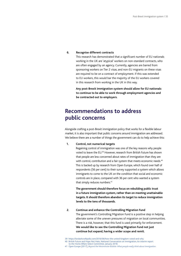### **6. Recognise different contracts**

This research has demonstrated that a significant number of EU nationals working in the UK are 'atypical' workers on non-standard contracts, who are often engaged by an agency. Currently, agencies are barred from sponsoring workers on Tier 2 visas, and non-EU migrants on these visas are required to be on a contract of employment. If this was extended to EU workers, this would bar the majority of the EU workers covered in this research from working in the UK in this way.

 **Any post-Brexit immigration system should allow for EU nationals to continue to be able to work through employment agencies and be contracted out to employers.**

### **Recommendations to address public concerns**

Alongside crafting a post-Brexit immigration policy that works for a flexible labour market, it is also important that public concerns around immigration are addressed. We believe there are a number of things the government can do to help achieve this:

**1. Control, not numerical targets**

Regaining control of immigration was one of the key reasons why people voted to leave the EU.39 However, research from British Future has shown that people are less concerned about rates of immigration than they are with control, contribution and a fair system that meets economic needs.<sup>40</sup> This is backed up by research from Open Europe, which found over half of respondents (56 per cent) to their survey supported a system which allows immigrants to come to the UK on the condition that social and economic controls are in place, compared with 36 per cent who wanted a system that simply reduces numbers.<sup>41</sup>

 **The government should therefore focus on rebuilding public trust in a future immigration system, rather than on meeting unattainable targets. It should therefore abandon its target to reduce immigration levels to the tens of thousands.**

**2. Continue and enhance the Controlling Migration Fund**

The government's Controlling Migration Fund is a positive step in helping alleviate some of the uneven pressures of migration on local communities. There is a risk, however, that this fund is used primarily for enforcement. **We would like to see the Controlling Migration Fund not just continue but expand, having a wider scope and remit.**

- 40 British Future and Hope Not Hate, National Conversation on Immigration, An interim report to the Home Affairs Select [Committee,](http://www.britishfuture.org/wp-content/uploads/2018/01/national-conversation-interim-report.pdf) January 2018.
- 41 Open Europe (2017), *[Beyond the Westminster Bubble: What people really think about immigration](https://openeurope.org.uk/intelligence/immigration-and-justice/beyond-the-westminster-bubble-what-people-really-think-about-immigration/)*.

<sup>39</sup> <https://lordashcroftpolls.com/2016/06/how-the-united-kingdom-voted-and-why>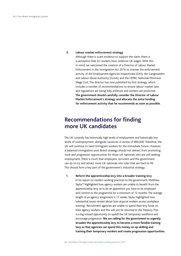#### **3. Labour market enforcement strategy**

 Although there is scant evidence to support the claim, there is a perception that EU workers have undercut UK wages. With this in mind, we welcomed the creation of a Director of Labour Market Enforcement in the Immigration Act 2016 to oversee the enforcement activity of the Employment Agencies Inspectorate (EAS), the Gangmasters and Labour Abuse Authority (GLAA), and the HMRC National Minimum Wage Unit. The director has now published his first strategy, which includes a number of recommendations to ensure labour market laws and regulations are being fully enforced and workers are protected. **The government should carefully consider the Director of Labour Market Enforcement's strategy and allocate the extra funding for enforcement activity that he recommends as soon as possible.**

### **Recommendations for finding more UK candidates**

The UK currently has historically high levels of employment and historically low levels of unemployment, alongside vacancies in excess of 800,000. Therefore, the UK will continue to need immigrant workers for the immediate future. However, a balanced immigration post-Brexit strategy should not detract from promoting work and progression opportunities for those UK nationals who are still seeking employment. There is much that employers, recruiters and the government can do to try and attract more UK nationals into roles that are hard to fill. This should form a key part of the government's industrial strategy.

**1. Reform the apprenticeship levy into a broader training levy** In his report on modern working practices to the government, Matthew Taylor<sup>42</sup> highlighted how agency workers are unable to benefit from the apprenticeship levy, as to be an apprentice you have to be employed and commit to the programme for a minimum of 12 months. The average length of an agency assignment is 17 weeks. Taylor highlighted how 'substantial issues remain about how atypical workers access workplace training'. Recruitment agencies are unable to spend their levy funds on their agency workers and this will just be returned to the Treasury. This is a big missed opportunity to upskill the UK temporary workforce and encourage progression. **We are calling for the government to urgently broaden the apprenticeship levy to become a more flexible training levy so that agencies can spend this money on up-skilling and training their temporary workers and create progression opportunities.**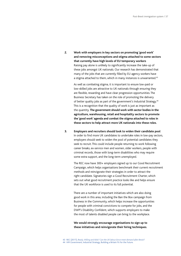**2. Work with employers in key sectors on promoting 'good work' and removing misconceptions and stigma attached to some sectors that currently have high levels of EU temporary workers** Raising pay alone is unlikely to significantly increase the take-up of these jobs amongst UK nationals. Our research has demonstrated that many of the jobs that are currently filled by EU agency workers have a stigma attached to them, which in many instances is unwarranted.<sup>43</sup>

 As well as combating stigma, it is important to ensure low-paid or low-skilled jobs are attractive to UK nationals through ensuring they are flexible, rewarding and have clear progression opportunities. The Business Secretary has taken on the role of promoting the delivery of better quality jobs as part of the government's Industrial Strategy.44 This is a recognition that the quality of work is just as important as the quantity. **The government should work with sector bodies in the agriculture, warehousing, retail and hospitality sectors to promote the 'good work' agenda and combat the stigma attached to roles in these sectors to help attract more UK nationals into these roles.**

**3. Employers and recruiters should look to widen their candidate pool** In order to find more UK candidates to undertake roles in low-pay sectors, employers should seek to widen the pool of potential candidates they seek to recruit. This could include people returning to work following career breaks, ex-service men and women, older workers, people with criminal records, those with long-term disabilities who may require some extra support, and the long-term unemployed.

 The REC now have 300+ employers signed up to our Good Recruitment Campaign, which helps organisations benchmark their current recruitment methods and reinvigorate their strategies in order to attract the right candidate. Signatories sign a Good Recruitment Charter, which sets out what good recruitment practice looks like and helps ensure that the UK workforce is used to its full potential.

There are a number of important initiatives which are also doing good work in this area, including the Ban the Box campaign from Business in the Community, which helps increase the opportunities for people with criminal convictions to compete for jobs, and the DWP's Disability Confident, which supports employers to make the most of talents disabled people can bring to the workplace.

**We would strongly encourage organisations to sign up to these initiatives and reinvigorate their hiring techniques.**

<sup>43</sup> REC (2017), *[Ready, Willing and Able? Can the UK labour force meet demand after Brexit?](https://www.rec.uk.com/__data/assets/pdf_file/0009/395487/Ready,-willing-and-able-Can-the-UK-labour-force-meet-demand-after-Brexit-2017.pdf)* 44 HM Government, Industrial Strategy, Building a Britain Fit for the Future.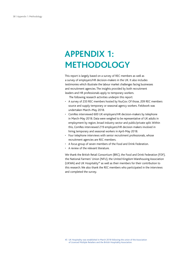### **APPENDIX 1: METHODOLOGY**

This report is largely based on a survey of REC members as well as a survey of employers/HR decision-makers in the UK. It also includes testimonies which illustrate the labour market challenges facing businesses and recruitment agencies. The insights provided by both recruitment leaders and HR professionals apply to temporary workers.

The following research activities underpin this report:

- A survey of 233 REC members hosted by YouGov. Of those, 209 REC members source and supply temporary or seasonal agency workers. Fieldwork was undertaken March–May 2018.
- ComRes interviewed 600 UK employers/HR decision-makers by telephone in March-May 2018. Data were weighed to be representative of UK adults in employment by region, broad industry sector and public/private split. Within this, ComRes interviewed 219 employers/HR decision makers involved in hiring temporary and seasonal workers in April-May 2018.
- Four telephone interviews with senior recruitment professionals, whose recruitment agencies are REC members.
- A focus group of seven members of the Food and Drink Federation.
- A review of the relevant literature.

We thank the British Retail Consortium (BRC), the Food and Drink Federation (FDF), the National Farmers' Union (NFU), the United Kingdom Warehousing Association (UKWA) and UK Hospitality<sup>45</sup> as well as their members for their contribution to this research. We also thank the REC members who participated in the interviews and completed the survey.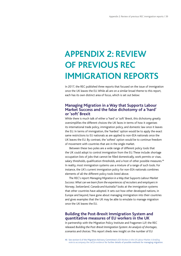### **APPENDIX 2: REVIEW OF PREVIOUS REC IMMIGRATION REPORTS**

In 2017, the REC published three reports that focused on the issue of immigration once the UK leaves the EU. While all are on a similar broad theme to this report, each has its own distinct area of focus, which is set out below:

### **Managing Migration in a Way that Supports Labour Market Success and the false dichotomy of a 'hard' or 'soft' Brexit**

While there is much talk of either a 'hard' or 'soft' Brexit, this dichotomy greatly oversimplifies the different choices the UK faces in terms of how it organises its international trade policy, immigration policy, and domestic law once it leaves the EU. In terms of immigration, the 'hardest' option would be to apply the exact same restrictions to EU nationals as are applied to non-EEA nationals once the UK leaves the EU. By contrast, the 'softest' option would be to continue freedom of movement with countries that are in the single market.

Between these two poles are a wide range of different policy tools that the UK could adopt to control immigration from the EU. These include: shortage occupation lists of jobs that cannot be filled domestically, work permits or visas, salary thresholds, qualification thresholds, and a host of other possible measures.<sup>46</sup> In reality, most immigration systems use a mixture of a range of such tools. For instance, the UK's current immigration policy for non-EEA nationals combines elements of all the different policy tools listed above.

The REC's report *Managing Migration in aWay that Supports Labour Market Success: What can we learn from the experiences of recruiters and employers in Norway, Switzerland, Canada and Australia?* looks at the immigration systems that other countries have adopted. It sets out how other developed nations, in Europe and beyond, have gone about managing immigration into their countries and gives examples that the UK may be able to emulate to manage migration once the UK leaves the EU.

### **Building the Post-Brexit Immigration System and quantitative measures of EU workers in the UK**

In partnership with the Migration Policy Institute and Fragomen LLP, the REC released *Building the Post-Brexit Immigration System: An analysis of shortages, scenarios and choices*. This report sheds new insight on the number of EU

<sup>46</sup> See section 6 of the Migration Advisory Committee's *EEA Workers in the UK Labour Market: A briefing note to accompany the call for evidence* for further details of possible methods for managing migration.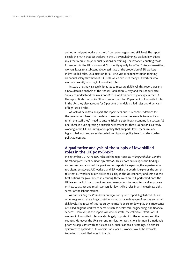and other migrant workers in the UK by sector, region, and skill level. The report dispels the myth that EU workers in the UK overwhelmingly work in low-skilled roles that require no prior qualifications or training. For instance, equating those EU workers in the UK who wouldn't currently qualify for a Tier 2 visa as low-skilled workers leads to a substantial overestimate of the proportion of EU workers in low-skilled roles. Qualification for a Tier 2 visa is dependent upon meeting an annual salary threshold of £30,000, which excludes many EU workers who are not currently working in low-skilled roles.

Instead of using visa eligibility rates to measure skill level, this report presents a new, detailed analysis of the Annual Population Survey and the Labour Force Survey to understand the roles non-British workers currently occupy in the UK. The report finds that while EU workers account for 15 per cent of low-skilled roles in the UK, they also account for 7 per cent of middle-skilled roles and 6 per cent of high-skilled roles.

As well as new data analysis, the report sets out 21 recommendations for the government based on the data to ensure businesses are able to recruit and retain the staff they'll need to ensure Britain's post-Brexit economy is a successful one. These include agreeing a sensible settlement for those EU nationals already working in the UK; an immigration policy that supports low-, medium-, and high-skilled jobs; and an evidence-led immigration policy free from day-to-day political pressure.

### **A qualitative analysis of the supply of low-skilled roles in the UK post-Brexit**

In September 2017, the REC released the report *Ready, Willing and Able: Can the UK labour force meet demand after Brexit?* This report builds upon the findings and recommendations of the previous two reports by exploring the experiences of recruiters, employers, UK workers, and EU workers in depth. It explores the current role that EU workers in low-skilled roles play in the UK economy and sets out the best options for government in ensuring these roles are still performed once the UK leaves the EU. It also provides recommendations for recruiters and employers on how to attract and retain workers for low-skilled roles in an increasingly tight sector of the labour market.

As our *Building the Post-Brexit Immigration System* report highlighted, EU and other migrants make a huge contribution across a wide range of sectors and at all skill levels. The focus of this report by no means seeks to downplay the importance of skilled migrant workers to sectors such as healthcare, engineering, and financial services. However, as this report will demonstrate, the collective efforts of EU workers in low-skilled roles are also hugely important to the economy and the country. Moreover, the UK's current immigration restrictions for non-EU nationals prioritise applicants with particular skills, qualifications, or earnings. If a similar system were applied to EU workers, far fewer EU workers would be available to perform low-skilled roles in the UK.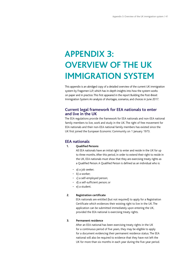## **APPENDIX 3: OVERVIEW OF THE UK IMMIGRATION SYSTEM**

This appendix is an abridged copy of a detailed overview of the current UK immigration system by Fragomen LLP, which has in-depth insights into how the system works on paper and in practice. This first appeared in the report Building the Post-Brexit Immigration System: An analysis of shortages, scenarios, and choices in June 2017.

### **Current legal framework for EEA nationals to enter and live in the UK**

The EEA regulations provide the framework for EEA nationals and non-EEA national family members to live, work and study in the UK. The right of free movement for EEA nationals and their non-EEA national family members has existed since the UK first joined the European Economic Community on 1 January 1973.

### **EEA nationals**

### **1. Qualified Persons**

All EEA nationals have an initial right to enter and reside in the UK for up to three months. After this period, in order to extend their right to reside in the UK, EEA nationals must show that they are exercising treaty rights as a Qualified Person. A Qualified Person is defined as an individual who is:

- a) a job seeker;
- b) a worker;
- c) a self-employed person;
- d) a self-sufficient person; or
- e) a student.

### **2. Registration certificate**

EEA nationals are entitled (but not required) to apply for a Registration Certificate which evidences their existing right to live in the UK. The application can be submitted immediately upon entering the UK, provided the EEA national is exercising treaty rights.

### **3. Permanent residence**

After an EEA national has been exercising treaty rights in the UK for a continuous period of five years, they may be eligible to apply for a document evidencing their permanent residence status. The EEA national will also be required to evidence that they have not left the UK for more than six months in each year during the five-year period.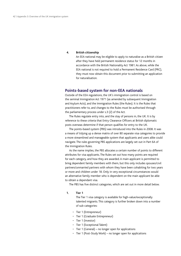#### **4. British citizenship**

An EEA national may be eligible to apply to naturalise as a British citizen after they have held permanent residence status for 12 months in accordance with the British Nationality Act 1981. As above, while the EEA national is not required to hold a Permanent Residence Card (PRC), they must now obtain this document prior to submitting an application for naturalisation.

### **Points-based system for non-EEA nationals**

Outside of the EEA regulations, the UK's immigration control is based on the seminal Immigration Act 1971 (as amended by subsequent Immigration and Asylum Acts), and the Immigration Rules (the Rules). It is the Rules that practitioners refer to, and changes to the Rules must be authorised through the parliamentary process under s.3 (2) of the Act.

The Rules regulate entry into, and the stay of persons in, the UK. It is by reference to these criteria that Entry Clearance Officers at British diplomatic posts overseas determine if that person qualifies for entry to the UK.

The points-based system (PBS) was introduced into the Rules in 2008. It was a means of tidying up a dense matrix of over 80 separate visa categories to provide a more streamlined and manageable system that applicants and users alike could navigate. The rules governing PBS applications are largely set out in Part 6A of the Immigration Rules.

As the name implies, the PBS allocates a certain number of points to different attributes for visa applicants. The Rules set out how many points are required for each category, and how they are awarded. A main applicant is permitted to bring dependent family members with them, but this only includes spouses/civil partners/unmarried partners with whom they have been cohabiting for two years or more and children under 18. Only in very exceptional circumstances would an alternative family member who is dependent on the main applicant be able to obtain a dependant visa.

The PBS has five distinct categories, which are set out in more detail below.

#### **1. Tier 1**

The Tier 1 visa category is available for high-value/exceptionally talented migrants. This category is further broken down into a number of sub-categories:

- Tier 1 (Entrepreneur)
- Tier 1 (Graduate Entrepreneur)
- Tier 1 (Investor)
- Tier 1 (Exceptional Talent)
- Tier 1 (General) no longer open for applications
- Tier 1 (Post-Study Work) no longer open for applications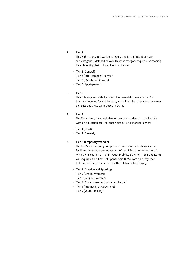### **2. Tier 2**

This is the sponsored worker category and is split into four main sub-categories (detailed below). This visa category requires sponsorship by a UK entity that holds a Sponsor Licence:

- Tier 2 (General)
- Tier 2 (Inter-company Transfer)
- Tier 2 (Minister of Religion)
- Tier 2 (Sportsperson)

#### **3. Tier 3**

This category was initially created for low-skilled work in the PBS but never opened for use. Instead, a small number of seasonal schemes did exist but these were closed in 2013.

#### **4. Tier 4**

The Tier 4 category is available for overseas students that will study with an education provider that holds a Tier 4 sponsor licence:

- Tier 4 (Child)
- Tier 4 (General*)*

### **5. Tier 5 Temporary Workers**

The Tier 5 visa category comprises a number of sub-categories that facilitate the temporary movement of non-EEA nationals to the UK. With the exception of Tier 5 (Youth Mobility Scheme), Tier 5 applicants will require a Certificate of Sponsorship (CoS) from an entity that holds a Tier 5 sponsor licence for the relative sub-category:

- Tier 5 (Creative and Sporting)
- Tier 5 (Charity Workers)
- Tier 5 (Religious Workers)
- Tier 5 (Government authorised exchange)
- Tier 5 (International Agreement)
- Tier 5 (Youth Mobility)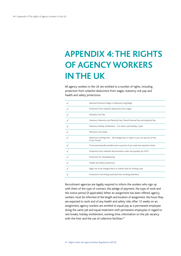# **APPENDIX 4: THE RIGHTS OF AGENCY WORKERS IN THE UK**

All agency workers in the UK are entitled to a number of rights, including protection from unlawful deductions from wages, statutory sick pay and health and safety protections.

| National Minimum Wage or National Living Wage                                               |
|---------------------------------------------------------------------------------------------|
| Protection from unlawful deductions from wages                                              |
| <b>Statutory Sick Pay</b>                                                                   |
| Statutory Maternity and Paternity Pay, Shared Parental Pay and Adoption Pay                 |
| Statutory holiday entitlement - 5.6 weeks' paid holiday a year                              |
| Minimum rest breaks                                                                         |
| Maximum working time - 48 average hours a week, or you can opt out of this<br>if you choose |
| To be automatically enrolled onto a pension if you meet the required criteria               |
| Protection from unlawful discrimination under the Equality Act 2010                         |
| Protection for whistleblowing                                                               |
| Health and safety protections                                                               |
| Right not to be charged direct or indirect fees for finding a job                           |
| Protections from being restricted from working elsewhere                                    |

Recruitment agencies are legally required to inform the workers who sign up with them of the type of contract, the pledge of payment, the type of work and the notice period (if applicable). When an assignment has been offered, agency workers must be informed of the length and location of assignment, the hours they are expected to work and of any health and safety risks. After 12 weeks on an assignment, agency workers are entitled to equal pay as a permanent employee doing the same job and equal treatment with permanent employees in regard to rest breaks, holiday entitlement, working time, information on the job vacancy with the hirer and the use of collective facilities.<sup>47</sup>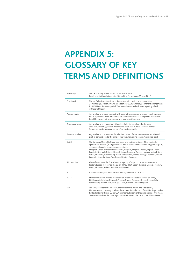## **APPENDIX 5: GLOSSARY OF KEY TERMS AND DEFINITIONS**

| Brexit day       | The UK officially leaves the EU on 29 March 2019.<br>Brexit negotiations between the UK and the EU began on 19 June 2017.                                                                                                                                                                                                                                                                                                                                                                                                                            |
|------------------|------------------------------------------------------------------------------------------------------------------------------------------------------------------------------------------------------------------------------------------------------------------------------------------------------------------------------------------------------------------------------------------------------------------------------------------------------------------------------------------------------------------------------------------------------|
| Post-Brexit      | The era following a transition or implementation period of approximately<br>21 months (29 March 2019 to 31 December 2020) whereby permanent arrangements<br>for UK EU relations are applied. This is conditional on both sides agreeing a final<br>withdrawal treaty.                                                                                                                                                                                                                                                                                |
| Agency worker    | Any worker who has a contract with a recruitment agency or employment business<br>but is supplied to work temporarily for another business/a hiring client. The worker<br>is paid by the recruitment agency or employment business.                                                                                                                                                                                                                                                                                                                  |
| Temporary worker | Any worker who is recruited either directly by the employer/business or<br>via a recruitment agency on a temporary basis that is not a seasonal worker.<br>Temporary worker covers a period of up to nine months.                                                                                                                                                                                                                                                                                                                                    |
| Seasonal worker  | Any worker who is recruited for a limited period of time to address an anticipated<br>peak in demand due to the time of year (e.g. harvesting season, Christmas, etc.).                                                                                                                                                                                                                                                                                                                                                                              |
| <b>EU28</b>      | The European Union (EU) is an economic and political union of 28 countries. It<br>operates an internal (or single) market which allows free movement of goods, capital,<br>services and people between member states.<br>European Union member states: Austria, Belgium, Bulgaria, Croatia, Cyprus, Czech<br>Republic, Denmark, Estonia, Finland, France, Germany, Greece, Hungary, Ireland, Italy,<br>Latvia, Lithuania, Luxembourg, Malta, Netherlands, Poland, Portugal, Romania, Slovak<br>Republic, Slovenia, Spain, Sweden and United Kingdom. |
| A8 countries     | Also referred to as the EU8, these are a group of eight countries from Central and<br>Eastern Europe that joined the EU on 1 May 2004. Czech Republic, Estonia, Hungary,<br>Latvia, Lithuania, Poland, Slovakia and Slovenia.                                                                                                                                                                                                                                                                                                                        |
| EU <sub>2</sub>  | It comprises Bulgaria and Romania, which joined the EU in 2007.                                                                                                                                                                                                                                                                                                                                                                                                                                                                                      |
| <b>EU15</b>      | EU member states prior to the accession of ten candidate countries on 1 May<br>2004. Austria, Belgium, Denmark, Finland, France, Germany, Greece, Ireland, Italy,<br>Luxembourg, Netherlands, Portugal, Spain, Sweden, United Kingdom.                                                                                                                                                                                                                                                                                                               |
| EEA              | The European Economic Area includes EU countries (EU28) and also Iceland,<br>Liechtenstein and Norway. It allows these countries to be part of the EU's single market.<br>Switzerland is neither an EU nor EEA member but is part of the single market - this means<br>Swiss nationals have the same rights to live and work in the UK as other EEA nationals.                                                                                                                                                                                       |